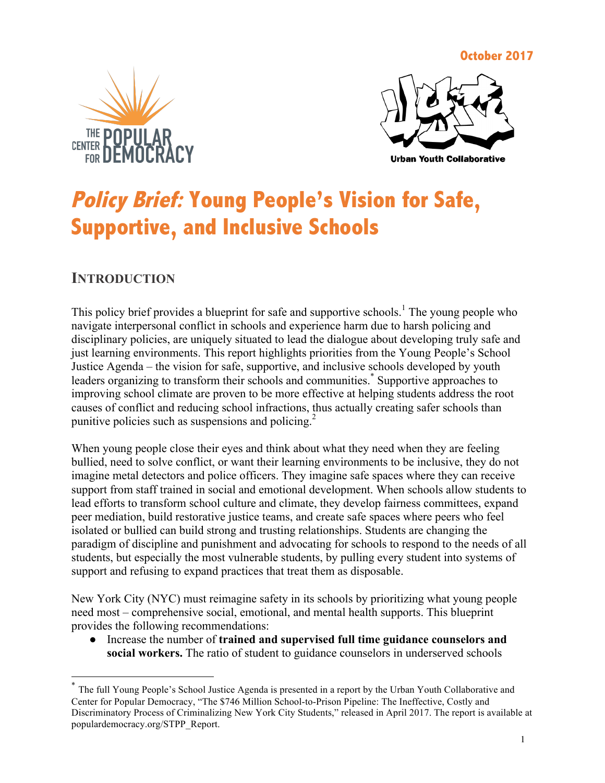**October 2017**





# **Policy Brief: Young People's Vision for Safe, Supportive, and Inclusive Schools**

## **INTRODUCTION**

This policy brief provides a blueprint for safe and supportive schools.<sup>1</sup> The young people who navigate interpersonal conflict in schools and experience harm due to harsh policing and disciplinary policies, are uniquely situated to lead the dialogue about developing truly safe and just learning environments. This report highlights priorities from the Young People's School Justice Agenda – the vision for safe, supportive, and inclusive schools developed by youth leaders organizing to transform their schools and communities.\* Supportive approaches to improving school climate are proven to be more effective at helping students address the root causes of conflict and reducing school infractions, thus actually creating safer schools than punitive policies such as suspensions and policing.<sup>2</sup>

When young people close their eyes and think about what they need when they are feeling bullied, need to solve conflict, or want their learning environments to be inclusive, they do not imagine metal detectors and police officers. They imagine safe spaces where they can receive support from staff trained in social and emotional development. When schools allow students to lead efforts to transform school culture and climate, they develop fairness committees, expand peer mediation, build restorative justice teams, and create safe spaces where peers who feel isolated or bullied can build strong and trusting relationships. Students are changing the paradigm of discipline and punishment and advocating for schools to respond to the needs of all students, but especially the most vulnerable students, by pulling every student into systems of support and refusing to expand practices that treat them as disposable.

New York City (NYC) must reimagine safety in its schools by prioritizing what young people need most – comprehensive social, emotional, and mental health supports. This blueprint provides the following recommendations:

● Increase the number of **trained and supervised full time guidance counselors and social workers.** The ratio of student to guidance counselors in underserved schools

 <sup>\*</sup> The full Young People's School Justice Agenda is presented in a report by the Urban Youth Collaborative and Center for Popular Democracy, "The \$746 Million School-to-Prison Pipeline: The Ineffective, Costly and Discriminatory Process of Criminalizing New York City Students," released in April 2017. The report is available at populardemocracy.org/STPP\_Report.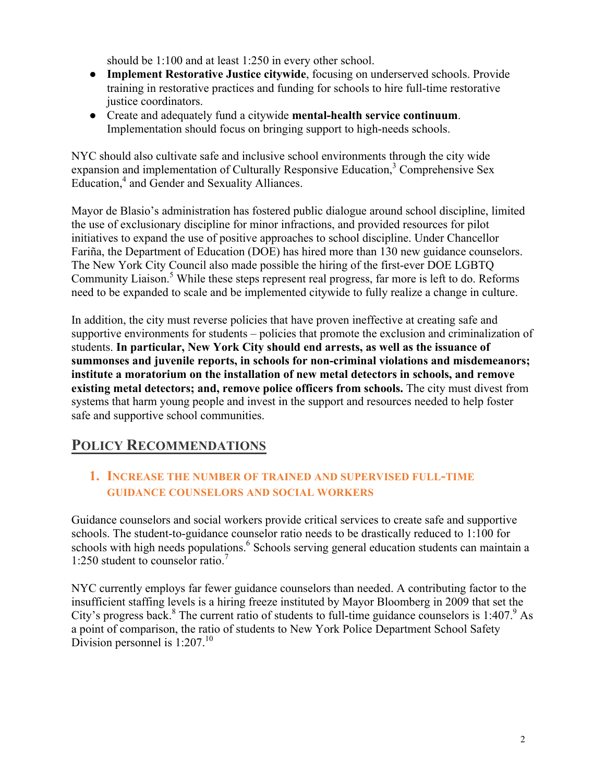should be 1:100 and at least 1:250 in every other school.

- **Implement Restorative Justice citywide**, focusing on underserved schools. Provide training in restorative practices and funding for schools to hire full-time restorative justice coordinators.
- Create and adequately fund a citywide **mental-health service continuum**. Implementation should focus on bringing support to high-needs schools.

NYC should also cultivate safe and inclusive school environments through the city wide expansion and implementation of Culturally Responsive Education, <sup>3</sup> Comprehensive Sex Education, <sup>4</sup> and Gender and Sexuality Alliances.

Mayor de Blasio's administration has fostered public dialogue around school discipline, limited the use of exclusionary discipline for minor infractions, and provided resources for pilot initiatives to expand the use of positive approaches to school discipline. Under Chancellor Fariña, the Department of Education (DOE) has hired more than 130 new guidance counselors. The New York City Council also made possible the hiring of the first-ever DOE LGBTQ Community Liaison. <sup>5</sup> While these steps represent real progress, far more is left to do. Reforms need to be expanded to scale and be implemented citywide to fully realize a change in culture.

In addition, the city must reverse policies that have proven ineffective at creating safe and supportive environments for students – policies that promote the exclusion and criminalization of students. **In particular, New York City should end arrests, as well as the issuance of summonses and juvenile reports, in schools for non-criminal violations and misdemeanors; institute a moratorium on the installation of new metal detectors in schools, and remove existing metal detectors; and, remove police officers from schools.** The city must divest from systems that harm young people and invest in the support and resources needed to help foster safe and supportive school communities.

## **POLICY RECOMMENDATIONS**

#### **1. INCREASE THE NUMBER OF TRAINED AND SUPERVISED FULL-TIME GUIDANCE COUNSELORS AND SOCIAL WORKERS**

Guidance counselors and social workers provide critical services to create safe and supportive schools. The student-to-guidance counselor ratio needs to be drastically reduced to 1:100 for schools with high needs populations.<sup>6</sup> Schools serving general education students can maintain a 1:250 student to counselor ratio.<sup>7</sup>

NYC currently employs far fewer guidance counselors than needed. A contributing factor to the insufficient staffing levels is a hiring freeze instituted by Mayor Bloomberg in 2009 that set the City's progress back.<sup>8</sup> The current ratio of students to full-time guidance counselors is  $1:407$ . As a point of comparison, the ratio of students to New York Police Department School Safety Division personnel is  $1:207<sup>10</sup>$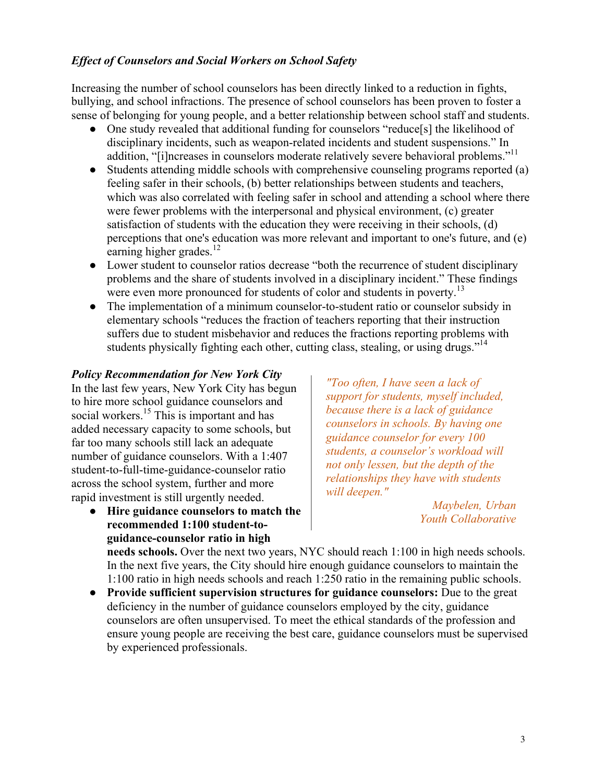#### *Effect of Counselors and Social Workers on School Safety*

Increasing the number of school counselors has been directly linked to a reduction in fights, bullying, and school infractions. The presence of school counselors has been proven to foster a sense of belonging for young people, and a better relationship between school staff and students.

- One study revealed that additional funding for counselors "reduce[s] the likelihood of disciplinary incidents, such as weapon-related incidents and student suspensions." In addition, "[i]ncreases in counselors moderate relatively severe behavioral problems."<sup>11</sup>
- Students attending middle schools with comprehensive counseling programs reported (a) feeling safer in their schools, (b) better relationships between students and teachers, which was also correlated with feeling safer in school and attending a school where there were fewer problems with the interpersonal and physical environment, (c) greater satisfaction of students with the education they were receiving in their schools, (d) perceptions that one's education was more relevant and important to one's future, and (e) earning higher grades.<sup>12</sup>
- Lower student to counselor ratios decrease "both the recurrence of student disciplinary problems and the share of students involved in a disciplinary incident." These findings were even more pronounced for students of color and students in poverty.<sup>13</sup>
- The implementation of a minimum counselor-to-student ratio or counselor subsidy in elementary schools "reduces the fraction of teachers reporting that their instruction suffers due to student misbehavior and reduces the fractions reporting problems with students physically fighting each other, cutting class, stealing, or using drugs."<sup>14</sup>

#### *Policy Recommendation for New York City*

In the last few years, New York City has begun to hire more school guidance counselors and social workers.<sup>15</sup> This is important and has added necessary capacity to some schools, but far too many schools still lack an adequate number of guidance counselors. With a 1:407 student-to-full-time-guidance-counselor ratio across the school system, further and more rapid investment is still urgently needed.

● **Hire guidance counselors to match the recommended 1:100 student-toguidance-counselor ratio in high** 

*"Too often, I have seen a lack of support for students, myself included, because there is a lack of guidance counselors in schools. By having one guidance counselor for every 100 students, a counselor's workload will not only lessen, but the depth of the relationships they have with students will deepen."* 

> *Maybelen, Urban Youth Collaborative*

**needs schools.** Over the next two years, NYC should reach 1:100 in high needs schools. In the next five years, the City should hire enough guidance counselors to maintain the 1:100 ratio in high needs schools and reach 1:250 ratio in the remaining public schools.

● **Provide sufficient supervision structures for guidance counselors:** Due to the great deficiency in the number of guidance counselors employed by the city, guidance counselors are often unsupervised. To meet the ethical standards of the profession and ensure young people are receiving the best care, guidance counselors must be supervised by experienced professionals.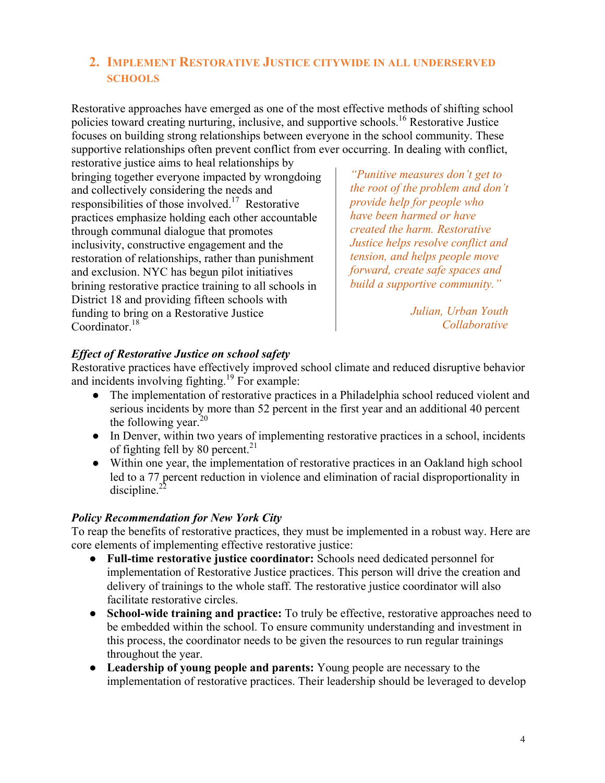#### **2. IMPLEMENT RESTORATIVE JUSTICE CITYWIDE IN ALL UNDERSERVED SCHOOLS**

Restorative approaches have emerged as one of the most effective methods of shifting school policies toward creating nurturing, inclusive, and supportive schools.<sup>16</sup> Restorative Justice focuses on building strong relationships between everyone in the school community. These supportive relationships often prevent conflict from ever occurring. In dealing with conflict,

restorative justice aims to heal relationships by bringing together everyone impacted by wrongdoing and collectively considering the needs and responsibilities of those involved.17 Restorative practices emphasize holding each other accountable through communal dialogue that promotes inclusivity, constructive engagement and the restoration of relationships, rather than punishment and exclusion. NYC has begun pilot initiatives brining restorative practice training to all schools in District 18 and providing fifteen schools with funding to bring on a Restorative Justice Coordinator<sup>18</sup>

*"Punitive measures don't get to the root of the problem and don't provide help for people who have been harmed or have created the harm. Restorative Justice helps resolve conflict and tension, and helps people move forward, create safe spaces and build a supportive community."*

> *Julian, Urban Youth Collaborative*

#### *Effect of Restorative Justice on school safety*

Restorative practices have effectively improved school climate and reduced disruptive behavior and incidents involving fighting.<sup>19</sup> For example:

- The implementation of restorative practices in a Philadelphia school reduced violent and serious incidents by more than 52 percent in the first year and an additional 40 percent the following year. $^{20}$
- In Denver, within two years of implementing restorative practices in a school, incidents of fighting fell by 80 percent.<sup>21</sup>
- Within one year, the implementation of restorative practices in an Oakland high school led to a 77 percent reduction in violence and elimination of racial disproportionality in discipline. $^{2}$

#### *Policy Recommendation for New York City*

To reap the benefits of restorative practices, they must be implemented in a robust way. Here are core elements of implementing effective restorative justice:

- **Full-time restorative justice coordinator:** Schools need dedicated personnel for implementation of Restorative Justice practices. This person will drive the creation and delivery of trainings to the whole staff. The restorative justice coordinator will also facilitate restorative circles.
- **School-wide training and practice:** To truly be effective, restorative approaches need to be embedded within the school. To ensure community understanding and investment in this process, the coordinator needs to be given the resources to run regular trainings throughout the year.
- **Leadership of young people and parents:** Young people are necessary to the implementation of restorative practices. Their leadership should be leveraged to develop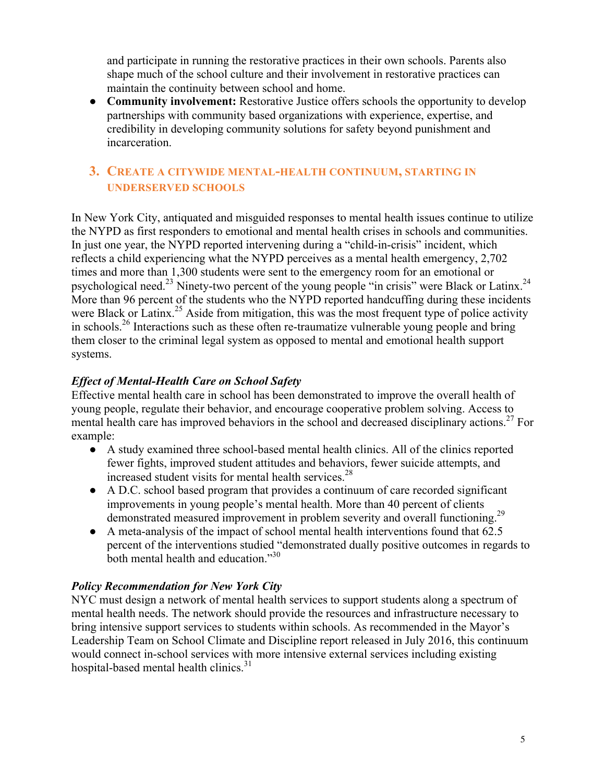and participate in running the restorative practices in their own schools. Parents also shape much of the school culture and their involvement in restorative practices can maintain the continuity between school and home.

• **Community involvement:** Restorative Justice offers schools the opportunity to develop partnerships with community based organizations with experience, expertise, and credibility in developing community solutions for safety beyond punishment and incarceration.

#### **3. CREATE A CITYWIDE MENTAL-HEALTH CONTINUUM, STARTING IN UNDERSERVED SCHOOLS**

In New York City, antiquated and misguided responses to mental health issues continue to utilize the NYPD as first responders to emotional and mental health crises in schools and communities. In just one year, the NYPD reported intervening during a "child-in-crisis" incident, which reflects a child experiencing what the NYPD perceives as a mental health emergency, 2,702 times and more than 1,300 students were sent to the emergency room for an emotional or psychological need.<sup>23</sup> Ninety-two percent of the young people "in crisis" were Black or Latinx.<sup>24</sup> More than 96 percent of the students who the NYPD reported handcuffing during these incidents were Black or Latinx.<sup>25</sup> Aside from mitigation, this was the most frequent type of police activity in schools.<sup>26</sup> Interactions such as these often re-traumatize vulnerable young people and bring them closer to the criminal legal system as opposed to mental and emotional health support systems.

#### *Effect of Mental-Health Care on School Safety*

Effective mental health care in school has been demonstrated to improve the overall health of young people, regulate their behavior, and encourage cooperative problem solving. Access to mental health care has improved behaviors in the school and decreased disciplinary actions.<sup>27</sup> For example:

- A study examined three school-based mental health clinics. All of the clinics reported fewer fights, improved student attitudes and behaviors, fewer suicide attempts, and increased student visits for mental health services. $^{28}$
- A D.C. school based program that provides a continuum of care recorded significant improvements in young people's mental health. More than 40 percent of clients demonstrated measured improvement in problem severity and overall functioning.<sup>29</sup>
- A meta-analysis of the impact of school mental health interventions found that 62.5 percent of the interventions studied "demonstrated dually positive outcomes in regards to both mental health and education."<sup>30</sup>

#### *Policy Recommendation for New York City*

NYC must design a network of mental health services to support students along a spectrum of mental health needs. The network should provide the resources and infrastructure necessary to bring intensive support services to students within schools. As recommended in the Mayor's Leadership Team on School Climate and Discipline report released in July 2016, this continuum would connect in-school services with more intensive external services including existing hospital-based mental health clinics.<sup>31</sup>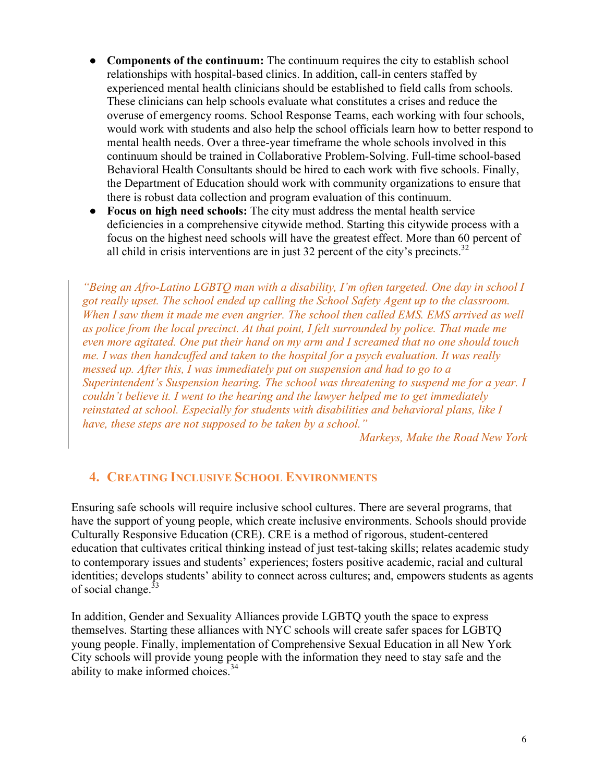- **Components of the continuum:** The continuum requires the city to establish school relationships with hospital-based clinics. In addition, call-in centers staffed by experienced mental health clinicians should be established to field calls from schools. These clinicians can help schools evaluate what constitutes a crises and reduce the overuse of emergency rooms. School Response Teams, each working with four schools, would work with students and also help the school officials learn how to better respond to mental health needs. Over a three-year timeframe the whole schools involved in this continuum should be trained in Collaborative Problem-Solving. Full-time school-based Behavioral Health Consultants should be hired to each work with five schools. Finally, the Department of Education should work with community organizations to ensure that there is robust data collection and program evaluation of this continuum.
- **Focus on high need schools:** The city must address the mental health service deficiencies in a comprehensive citywide method. Starting this citywide process with a focus on the highest need schools will have the greatest effect. More than 60 percent of all child in crisis interventions are in just 32 percent of the city's precincts.<sup>32</sup>

*"Being an Afro-Latino LGBTQ man with a disability, I'm often targeted. One day in school I got really upset. The school ended up calling the School Safety Agent up to the classroom. When I saw them it made me even angrier. The school then called EMS. EMS arrived as well as police from the local precinct. At that point, I felt surrounded by police. That made me even more agitated. One put their hand on my arm and I screamed that no one should touch me. I was then handcuffed and taken to the hospital for a psych evaluation. It was really messed up. After this, I was immediately put on suspension and had to go to a Superintendent's Suspension hearing. The school was threatening to suspend me for a year. I couldn't believe it. I went to the hearing and the lawyer helped me to get immediately reinstated at school. Especially for students with disabilities and behavioral plans, like I have, these steps are not supposed to be taken by a school."*

*Markeys, Make the Road New York*

#### **4. CREATING INCLUSIVE SCHOOL ENVIRONMENTS**

Ensuring safe schools will require inclusive school cultures. There are several programs, that have the support of young people, which create inclusive environments. Schools should provide Culturally Responsive Education (CRE). CRE is a method of rigorous, student-centered education that cultivates critical thinking instead of just test-taking skills; relates academic study to contemporary issues and students' experiences; fosters positive academic, racial and cultural identities; develops students' ability to connect across cultures; and, empowers students as agents of social change.<sup>33</sup>

In addition, Gender and Sexuality Alliances provide LGBTQ youth the space to express themselves. Starting these alliances with NYC schools will create safer spaces for LGBTQ young people. Finally, implementation of Comprehensive Sexual Education in all New York City schools will provide young people with the information they need to stay safe and the ability to make informed choices.<sup>34</sup>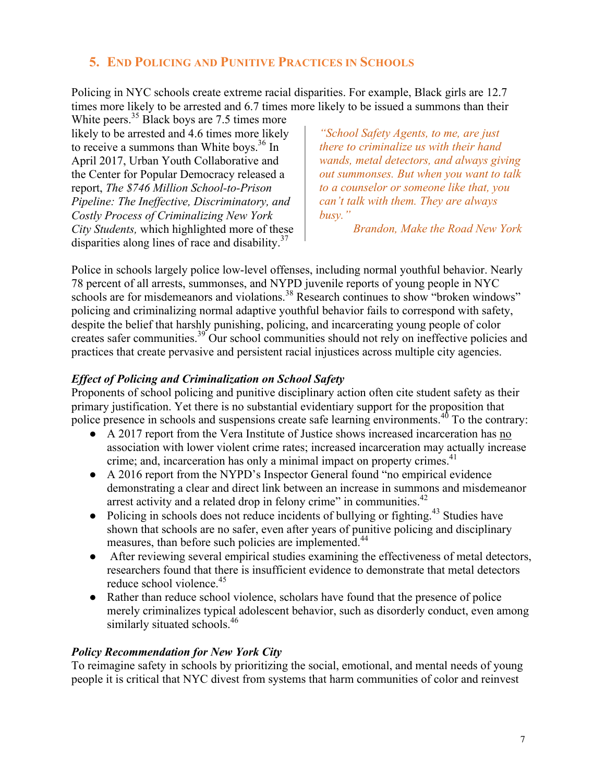#### **5. END POLICING AND PUNITIVE PRACTICES IN SCHOOLS**

Policing in NYC schools create extreme racial disparities. For example, Black girls are 12.7 times more likely to be arrested and 6.7 times more likely to be issued a summons than their

White peers.<sup>35</sup> Black boys are 7.5 times more likely to be arrested and 4.6 times more likely to receive a summons than White boys. <sup>36</sup> In April 2017, Urban Youth Collaborative and the Center for Popular Democracy released a report, *The \$746 Million School-to-Prison Pipeline: The Ineffective, Discriminatory, and Costly Process of Criminalizing New York City Students,* which highlighted more of these disparities along lines of race and disability. $37$ 

*"School Safety Agents, to me, are just there to criminalize us with their hand wands, metal detectors, and always giving out summonses. But when you want to talk to a counselor or someone like that, you can't talk with them. They are always busy."* 

*Brandon, Make the Road New York*

Police in schools largely police low-level offenses, including normal youthful behavior. Nearly 78 percent of all arrests, summonses, and NYPD juvenile reports of young people in NYC schools are for misdemeanors and violations.<sup>38</sup> Research continues to show "broken windows" policing and criminalizing normal adaptive youthful behavior fails to correspond with safety, despite the belief that harshly punishing, policing, and incarcerating young people of color creates safer communities.<sup>39</sup> Our school communities should not rely on ineffective policies and practices that create pervasive and persistent racial injustices across multiple city agencies.

#### *Effect of Policing and Criminalization on School Safety*

Proponents of school policing and punitive disciplinary action often cite student safety as their primary justification. Yet there is no substantial evidentiary support for the proposition that police presence in schools and suspensions create safe learning environments.<sup>40</sup> To the contrary:

- A 2017 report from the Vera Institute of Justice shows increased incarceration has no association with lower violent crime rates; increased incarceration may actually increase crime; and, incarceration has only a minimal impact on property crimes.<sup>41</sup>
- A 2016 report from the NYPD's Inspector General found "no empirical evidence demonstrating a clear and direct link between an increase in summons and misdemeanor arrest activity and a related drop in felony crime" in communities.<sup>42</sup>
- Policing in schools does not reduce incidents of bullying or fighting.<sup>43</sup> Studies have shown that schools are no safer, even after years of punitive policing and disciplinary measures, than before such policies are implemented.<sup>44</sup>
- After reviewing several empirical studies examining the effectiveness of metal detectors, researchers found that there is insufficient evidence to demonstrate that metal detectors reduce school violence.<sup>45</sup>
- Rather than reduce school violence, scholars have found that the presence of police merely criminalizes typical adolescent behavior, such as disorderly conduct, even among similarly situated schools.<sup>46</sup>

#### *Policy Recommendation for New York City*

To reimagine safety in schools by prioritizing the social, emotional, and mental needs of young people it is critical that NYC divest from systems that harm communities of color and reinvest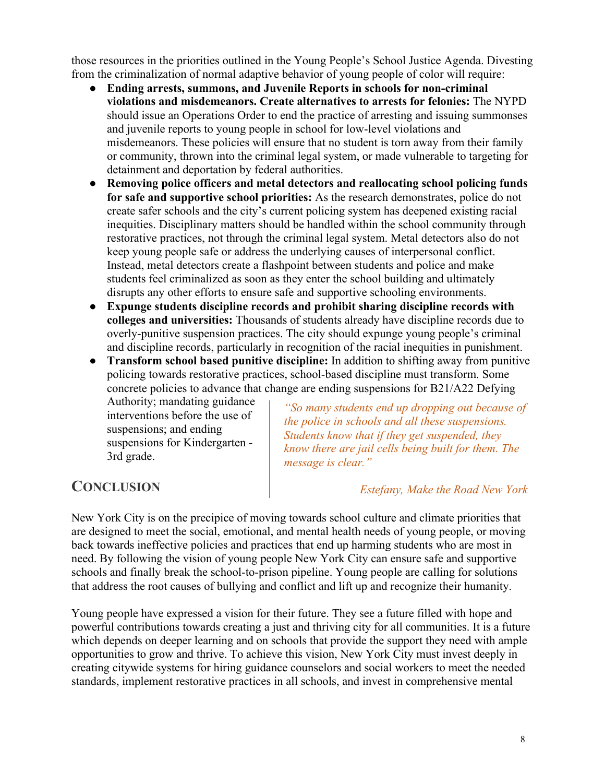those resources in the priorities outlined in the Young People's School Justice Agenda. Divesting from the criminalization of normal adaptive behavior of young people of color will require:

- **Ending arrests, summons, and Juvenile Reports in schools for non-criminal violations and misdemeanors. Create alternatives to arrests for felonies:** The NYPD should issue an Operations Order to end the practice of arresting and issuing summonses and juvenile reports to young people in school for low-level violations and misdemeanors. These policies will ensure that no student is torn away from their family or community, thrown into the criminal legal system, or made vulnerable to targeting for detainment and deportation by federal authorities.
- **Removing police officers and metal detectors and reallocating school policing funds for safe and supportive school priorities:** As the research demonstrates, police do not create safer schools and the city's current policing system has deepened existing racial inequities. Disciplinary matters should be handled within the school community through restorative practices, not through the criminal legal system. Metal detectors also do not keep young people safe or address the underlying causes of interpersonal conflict. Instead, metal detectors create a flashpoint between students and police and make students feel criminalized as soon as they enter the school building and ultimately disrupts any other efforts to ensure safe and supportive schooling environments.
- **Expunge students discipline records and prohibit sharing discipline records with colleges and universities:** Thousands of students already have discipline records due to overly-punitive suspension practices. The city should expunge young people's criminal and discipline records, particularly in recognition of the racial inequities in punishment.
- **Transform school based punitive discipline:** In addition to shifting away from punitive policing towards restorative practices, school-based discipline must transform. Some concrete policies to advance that change are ending suspensions for B21/A22 Defying

Authority; mandating guidance interventions before the use of suspensions; and ending suspensions for Kindergarten - 3rd grade.

*"So many students end up dropping out because of the police in schools and all these suspensions. Students know that if they get suspended, they know there are jail cells being built for them. The message is clear."* 

# **CONCLUSION**

#### *Estefany, Make the Road New York*

New York City is on the precipice of moving towards school culture and climate priorities that are designed to meet the social, emotional, and mental health needs of young people, or moving back towards ineffective policies and practices that end up harming students who are most in need. By following the vision of young people New York City can ensure safe and supportive schools and finally break the school-to-prison pipeline. Young people are calling for solutions that address the root causes of bullying and conflict and lift up and recognize their humanity.

Young people have expressed a vision for their future. They see a future filled with hope and powerful contributions towards creating a just and thriving city for all communities. It is a future which depends on deeper learning and on schools that provide the support they need with ample opportunities to grow and thrive. To achieve this vision, New York City must invest deeply in creating citywide systems for hiring guidance counselors and social workers to meet the needed standards, implement restorative practices in all schools, and invest in comprehensive mental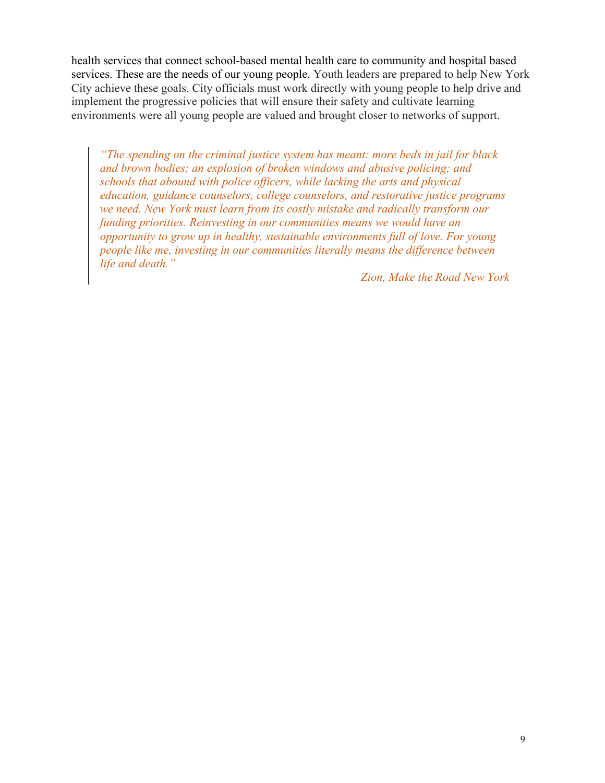health services that connect school-based mental health care to community and hospital based services. These are the needs of our young people. Youth leaders are prepared to help New York City achieve these goals. City officials must work directly with young people to help drive and implement the progressive policies that will ensure their safety and cultivate learning environments were all young people are valued and brought closer to networks of support.

*"The spending on the criminal justice system has meant: more beds in jail for black and brown bodies; an explosion of broken windows and abusive policing; and schools that abound with police officers, while lacking the arts and physical education, guidance counselors, college counselors, and restorative justice programs we need. New York must learn from its costly mistake and radically transform our funding priorities. Reinvesting in our communities means we would have an opportunity to grow up in healthy, sustainable environments full of love. For young people like me, investing in our communities literally means the difference between life and death."*

*Zion, Make the Road New York*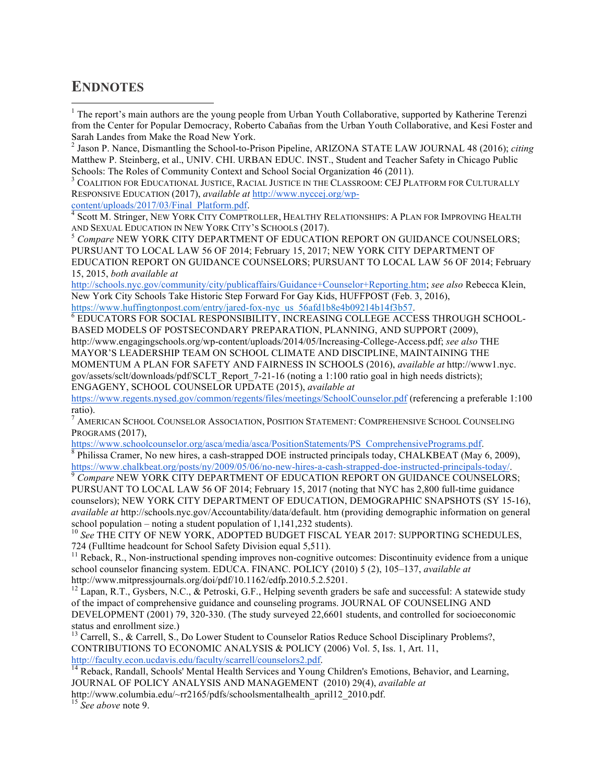### **ENDNOTES**

<sup>1</sup> The report's main authors are the young people from Urban Youth Collaborative, supported by Katherine Terenzi from the Center for Popular Democracy, Roberto Cabañas from the Urban Youth Collaborative, and Kesi Foster and Sarah Landes from Make the Road New York.

<sup>2</sup> Jason P. Nance, Dismantling the School-to-Prison Pipeline, ARIZONA STATE LAW JOURNAL 48 (2016); *citing* Matthew P. Steinberg, et al., UNIV. CHI. URBAN EDUC. INST., Student and Teacher Safety in Chicago Public Schools: The Roles of Community Context and School Social Organization 46 (2011).<br><sup>3</sup> COALITION FOR EDUCATIONAL JUSTICE, RACIAL JUSTICE IN THE CLASSROOM: CEJ PLATFORM FOR CULTURALLY

RESPONSIVE EDUCATION (2017), *available at* http://www.nyccej.org/wp-

 $^4$  Scott M. Stringer, NEW YORK CITY COMPTROLLER, HEALTHY RELATIONSHIPS: A PLAN FOR IMPROVING HEALTH AND SEXUAL EDUCATION IN NEW YORK CITY'S SCHOOLS (2017).<br><sup>5</sup> Compare NEW YORK CITY DEPARTMENT OF EDUCATION REPORT ON GUIDANCE COUNSELORS;

PURSUANT TO LOCAL LAW 56 OF 2014; February 15, 2017; NEW YORK CITY DEPARTMENT OF EDUCATION REPORT ON GUIDANCE COUNSELORS; PURSUANT TO LOCAL LAW 56 OF 2014; February 15, 2015, *both available at*

http://schools.nyc.gov/community/city/publicaffairs/Guidance+Counselor+Reporting.htm; *see also* Rebecca Klein, New York City Schools Take Historic Step Forward For Gay Kids, HUFFPOST (Feb. 3, 2016),

https://www.huffingtonpost.com/entry/jared-fox-nyc\_us\_56afd1b8e4b09214b14f3b57.<br><sup>6</sup> EDUCATORS FOR SOCIAL RESPONSIBILITY, INCREASING COLLEGE ACCESS THROUGH SCHOOL-BASED MODELS OF POSTSECONDARY PREPARATION, PLANNING, AND SUPPORT (2009), http://www.engagingschools.org/wp-content/uploads/2014/05/Increasing-College-Access.pdf; *see also* THE MAYOR'S LEADERSHIP TEAM ON SCHOOL CLIMATE AND DISCIPLINE, MAINTAINING THE MOMENTUM A PLAN FOR SAFETY AND FAIRNESS IN SCHOOLS (2016), *available at* http://www1.nyc. gov/assets/sclt/downloads/pdf/SCLT\_Report\_7-21-16 (noting a 1:100 ratio goal in high needs districts); ENGAGENY, SCHOOL COUNSELOR UPDATE (2015), *available at*

https://www.regents.nysed.gov/common/regents/files/meetings/SchoolCounselor.pdf (referencing a preferable 1:100 ratio).

<sup>7</sup> AMERICAN SCHOOL COUNSELOR ASSOCIATION, POSITION STATEMENT: COMPREHENSIVE SCHOOL COUNSELING PROGRAMS (2017),

https://www.schoolcounselor.org/asca/media/asca/PositionStatements/PS\_ComprehensivePrograms.pdf. 8 Philissa Cramer, No new hires, a cash-strapped DOE instructed principals today, CHALKBEAT (May 6, 2009),

https://www.chalkbeat.org/posts/ny/2009/05/06/no-new-hires-a-cash-strapped-doe-instructed-principals-today/.<br><sup>9</sup> *Compare* NEW YORK CITY DEPARTMENT OF EDUCATION REPORT ON GUIDANCE COUNSELORS; PURSUANT TO LOCAL LAW 56 OF 2014; February 15, 2017 (noting that NYC has 2,800 full-time guidance counselors); NEW YORK CITY DEPARTMENT OF EDUCATION, DEMOGRAPHIC SNAPSHOTS (SY 15-16), *available at* http://schools.nyc.gov/Accountability/data/default. htm (providing demographic information on general school population – noting a student population of 1,141,232 students). <sup>10</sup> *See* THE CITY OF NEW YORK, ADOPTED BUDGET FISCAL YEAR 2017: SUPPORTING SCHEDULES,

724 (Fulltime headcount for School Safety Division equal 5,511).

 $11$  Reback, R., Non-instructional spending improves non-cognitive outcomes: Discontinuity evidence from a unique school counselor financing system. EDUCA. FINANC. POLICY (2010) 5 (2), 105–137, *available at*  http://www.mitpressjournals.org/doi/pdf/10.1162/edfp.2010.5.2.5201.

 $12$  Lapan, R.T., Gysbers, N.C., & Petroski, G.F., Helping seventh graders be safe and successful: A statewide study of the impact of comprehensive guidance and counseling programs. JOURNAL OF COUNSELING AND DEVELOPMENT (2001) 79, 320-330. (The study surveyed 22,6601 students, and controlled for socioeconomic status and enrollment size.)

<sup>13</sup> Carrell, S., & Carrell, S., Do Lower Student to Counselor Ratios Reduce School Disciplinary Problems?, CONTRIBUTIONS TO ECONOMIC ANALYSIS & POLICY (2006) Vol. 5, Iss. 1, Art. 11, http://faculty.econ.ucdavis.edu/faculty/scarrell/counselors2.pdf.<br><sup>14</sup> Reback, Randall, Schools' Mental Health Services and Young Children's Emotions, Behavior, and Learning,

JOURNAL OF POLICY ANALYSIS AND MANAGEMENT (2010) 29(4), *available at*

http://www.columbia.edu/~rr2165/pdfs/schoolsmentalhealth\_april12\_2010.pdf.

<sup>15</sup> *See above* note 9.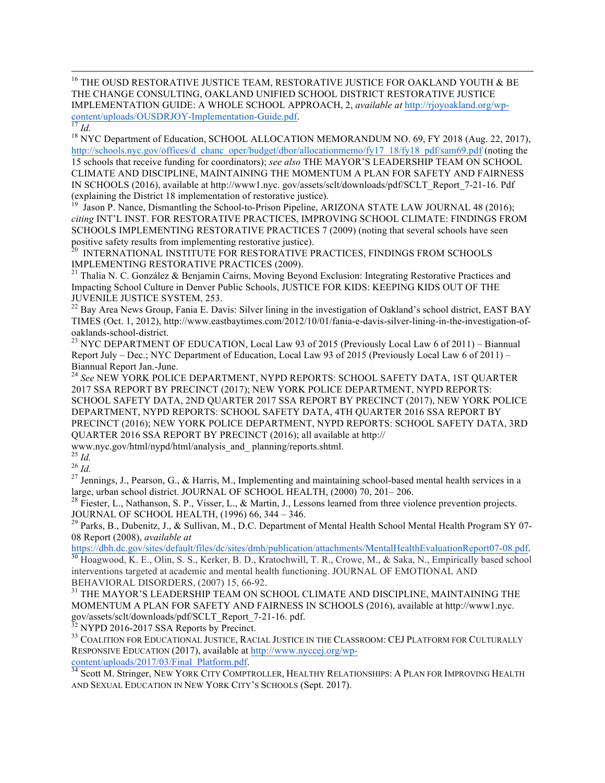<sup>16</sup> THE OUSD RESTORATIVE JUSTICE TEAM, RESTORATIVE JUSTICE FOR OAKLAND YOUTH & BE THE CHANGE CONSULTING, OAKLAND UNIFIED SCHOOL DISTRICT RESTORATIVE JUSTICE IMPLEMENTATION GUIDE: A WHOLE SCHOOL APPROACH, 2, *available at* http://rjoyoakland.org/wp-

<sup>17</sup> Id.<br><sup>18</sup> NYC Department of Education, SCHOOL ALLOCATION MEMORANDUM NO. 69, FY 2018 (Aug. 22, 2017), http://schools.nyc.gov/offices/d\_chanc\_oper/budget/dbor/allocationmemo/fy17\_18/fy18\_pdf/sam69.pdf (noting the 15 schools that receive funding for coordinators); *see also* THE MAYOR'S LEADERSHIP TEAM ON SCHOOL CLIMATE AND DISCIPLINE, MAINTAINING THE MOMENTUM A PLAN FOR SAFETY AND FAIRNESS IN SCHOOLS (2016), available at http://www1.nyc. gov/assets/sclt/downloads/pdf/SCLT\_Report\_7-21-16. Pdf (explaining the District 18 implementation of restorative justice).

Jason P. Nance, Dismantling the School-to-Prison Pipeline, ARIZONA STATE LAW JOURNAL 48 (2016); *citing* INT'L INST. FOR RESTORATIVE PRACTICES, IMPROVING SCHOOL CLIMATE: FINDINGS FROM SCHOOLS IMPLEMENTING RESTORATIVE PRACTICES 7 (2009) (noting that several schools have seen positive safety results from implementing restorative justice).<br><sup>20</sup> INTERNATIONAL INSTITUTE FOR RESTORATIVE PRACTICES, FINDINGS FROM SCHOOLS

IMPLEMENTING RESTORATIVE PRACTICES (2009).<br><sup>21</sup> Thalia N. C. González & Benjamin Cairns, Moving Beyond Exclusion: Integrating Restorative Practices and Impacting School Culture in Denver Public Schools, JUSTICE FOR KIDS: KEEPING KIDS OUT OF THE

JUVENILE JUSTICE SYSTEM, 253.<br><sup>22</sup> Bay Area News Group, Fania E. Davis: Silver lining in the investigation of Oakland's school district, EAST BAY TIMES (Oct. 1, 2012), http://www.eastbaytimes.com/2012/10/01/fania-e-davis-silver-lining-in-the-investigation-of-

<sup>23</sup> NYC DEPARTMENT OF EDUCATION, Local Law 93 of 2015 (Previously Local Law 6 of 2011) – Biannual Report July – Dec.; NYC Department of Education, Local Law 93 of 2015 (Previously Local Law 6 of 2011) – Biannual Report Jan.-June. <sup>24</sup> *See* NEW YORK POLICE DEPARTMENT, NYPD REPORTS: SCHOOL SAFETY DATA, 1ST QUARTER

2017 SSA REPORT BY PRECINCT (2017); NEW YORK POLICE DEPARTMENT, NYPD REPORTS: SCHOOL SAFETY DATA, 2ND QUARTER 2017 SSA REPORT BY PRECINCT (2017), NEW YORK POLICE DEPARTMENT, NYPD REPORTS: SCHOOL SAFETY DATA, 4TH QUARTER 2016 SSA REPORT BY PRECINCT (2016); NEW YORK POLICE DEPARTMENT, NYPD REPORTS: SCHOOL SAFETY DATA, 3RD QUARTER 2016 SSA REPORT BY PRECINCT (2016); all available at http://

www.nyc.gov/html/nypd/html/analysis\_and\_ planning/reports.shtml.<br><sup>25</sup> *Id.* 26 *Id.* 27 Jennings, J., Pearson, G., & Harris, M., Implementing and maintaining school-based mental health services in a large, urban school district. JOURNAL OF SCHOOL HEALTH, (2000) 70, 201–206.<br><sup>28</sup> Fiester, L., Nathanson, S. P., Visser, L., & Martin, J., Lessons learned from three violence prevention projects.

JOURNAL OF SCHOOL HEALTH, (1996) 66, 344 – 346.<br><sup>29</sup> Parks, B., Dubenitz, J., & Sullivan, M., D.C. Department of Mental Health School Mental Health Program SY 07-08 Report (2008), *available at*<br>https://dbh.dc.gov/sites/default/files/dc/sites/dmh/publication/attachments/MentalHealthEvaluationReport07-08.pdf.

<sup>30</sup> Hoagwood, K. E., Olin, S. S., Kerker, B. D., Kratochwill, T. R., Crowe, M., & Saka, N., Empirically based school interventions targeted at academic and mental health functioning. JOURNAL OF EMOTIONAL AND BEHAVIORAL DISORDERS, (2007) 15, 66-92.<br><sup>31</sup> THE MAYOR'S LEADERSHIP TEAM ON SCHOOL CLIMATE AND DISCIPLINE, MAINTAINING THE

MOMENTUM A PLAN FOR SAFETY AND FAIRNESS IN SCHOOLS (2016), available at http://www1.nyc. gov/assets/sclt/downloads/pdf/SCLT\_Report\_7-21-16. pdf.<br><sup>32</sup> NYPD 2016-2017 SSA Reports by Precinct.<br><sup>33</sup> COALITION FOR EDUCATIONAL JUSTICE, RACIAL JUSTICE IN THE CLASSROOM: CEJ PLATFORM FOR CULTURALLY

RESPONSIVE EDUCATION (2017), available at http://www.nyccej.org/wp-

content/uploads/2017/03/Final\_Platform.pdf. 34<br><sup>34</sup> Scott M. Stringer, NEW YORK CITY COMPTROLLER, HEALTHY RELATIONSHIPS: A PLAN FOR IMPROVING HEALTH AND SEXUAL EDUCATION IN NEW YORK CITY'S SCHOOLS (Sept. 2017).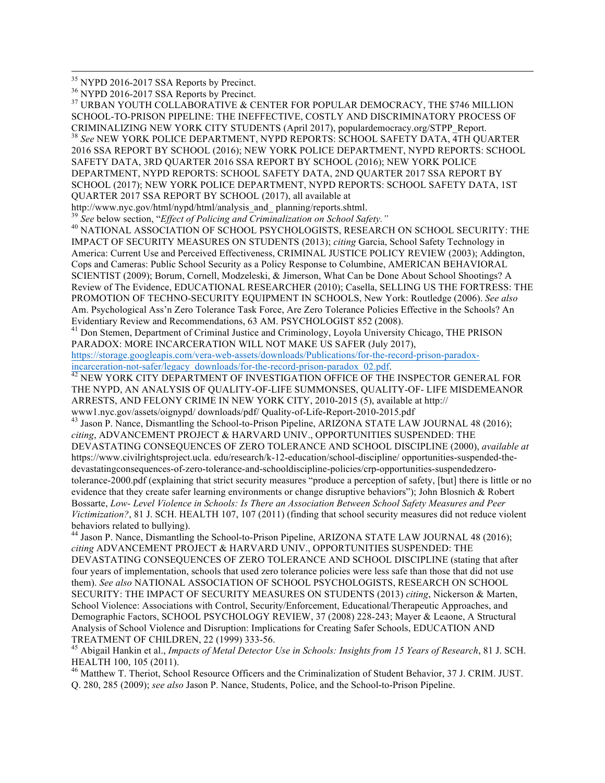<sup>35</sup> NYPD 2016-2017 SSA Reports by Precinct.<br><sup>36</sup> NYPD 2016-2017 SSA Reports by Precinct.<br><sup>37</sup> URBAN YOUTH COLLABORATIVE & CENTER FOR POPULAR DEMOCRACY, THE \$746 MILLION SCHOOL-TO-PRISON PIPELINE: THE INEFFECTIVE, COSTLY AND DISCRIMINATORY PROCESS OF CRIMINALIZING NEW YORK CITY STUDENTS (April 2017), populardemocracy.org/STPP\_Report. 38 *See* NEW YORK POLICE DEPARTMENT, NYPD REPORTS: SCHOOL SAFETY DATA, 4TH QUARTER 2016 SSA REPORT BY SCHOOL (2016); NEW YORK POLICE DEPARTMENT, NYPD REPORTS: SCHOOL SAFETY DATA, 3RD QUARTER 2016 SSA REPORT BY SCHOOL (2016); NEW YORK POLICE DEPARTMENT, NYPD REPORTS: SCHOOL SAFETY DATA, 2ND QUARTER 2017 SSA REPORT BY SCHOOL (2017); NEW YORK POLICE DEPARTMENT, NYPD REPORTS: SCHOOL SAFETY DATA, 1ST QUARTER 2017 SSA REPORT BY SCHOOL (2017), all available at http://www.nyc.gov/html/nypd/html/analysis\_and\_planning/reports.shtml.<br><sup>39</sup> See below section, "*Effect of Policing and Criminalization on School Safety."*<br><sup>40</sup> NATIONAL ASSOCIATION OF SCHOOL PSYCHOLOGISTS, RESEARCH ON SCH IMPACT OF SECURITY MEASURES ON STUDENTS (2013); *citing* Garcia, School Safety Technology in America: Current Use and Perceived Effectiveness, CRIMINAL JUSTICE POLICY REVIEW (2003); Addington, Cops and Cameras: Public School Security as a Policy Response to Columbine, AMERICAN BEHAVIORAL SCIENTIST (2009); Borum, Cornell, Modzeleski, & Jimerson, What Can be Done About School Shootings? A Review of The Evidence, EDUCATIONAL RESEARCHER (2010); Casella, SELLING US THE FORTRESS: THE PROMOTION OF TECHNO-SECURITY EQUIPMENT IN SCHOOLS, New York: Routledge (2006). *See also* Am. Psychological Ass'n Zero Tolerance Task Force, Are Zero Tolerance Policies Effective in the Schools? An Evidentiary Review and Recommendations, 63 AM. PSYCHOLOGIST 852 (2008). <sup>41</sup> Don Stemen, Department of Criminal Justice and Criminology, Loyola University Chicago, THE PRISON PARADOX: MORE INCARCERATION WILL NOT MAKE US SAFER (July 2017), https://storage.googleapis.com/vera-web-assets/downloads/Publications/for-the-record-prison-paradox-<br>incarceration-not-safer/legacy\_downloads/for-the-record-prison-paradox\_02.pdf. <sup>42</sup> NEW YORK CITY DEPARTMENT OF INVESTIGATION OFFICE OF THE INSPECTOR GENERAL FOR THE NYPD, AN ANALYSIS OF QUALITY-OF-LIFE SUMMONSES, QUALITY-OF- LIFE MISDEMEANOR ARRESTS, AND FELONY CRIME IN NEW YORK CITY, 2010-2015 (5), available at http:// www1.nyc.gov/assets/oignypd/ downloads/pdf/ Quality-of-Life-Report-2010-2015.pdf <sup>43</sup> Jason P. Nance, Dismantling the School-to-Prison Pipeline, ARIZONA STATE LAW JOURNAL 48 (2016); *citing*, ADVANCEMENT PROJECT & HARVARD UNIV., OPPORTUNITIES SUSPENDED: THE DEVASTATING CONSEQUENCES OF ZERO TOLERANCE AND SCHOOL DISCIPLINE (2000), *available at* https://www.civilrightsproject.ucla. edu/research/k-12-education/school-discipline/ opportunities-suspended-thedevastatingconsequences-of-zero-tolerance-and-schooldiscipline-policies/crp-opportunities-suspendedzerotolerance-2000.pdf (explaining that strict security measures "produce a perception of safety, [but] there is little or no evidence that they create safer learning environments or change disruptive behaviors"); John Blosnich & Robert Bossarte, *Low- Level Violence in Schools: Is There an Association Between School Safety Measures and Peer Victimization?*, 81 J. SCH. HEALTH 107, 107 (2011) (finding that school security measures did not reduce violent behaviors related to bullying). <sup>44</sup> Jason P. Nance, Dismantling the School-to-Prison Pipeline, ARIZONA STATE LAW JOURNAL 48 (2016); *citing* ADVANCEMENT PROJECT & HARVARD UNIV., OPPORTUNITIES SUSPENDED: THE DEVASTATING CONSEQUENCES OF ZERO TOLERANCE AND SCHOOL DISCIPLINE (stating that after four years of implementation, schools that used zero tolerance policies were less safe than those that did not use them). *See also* NATIONAL ASSOCIATION OF SCHOOL PSYCHOLOGISTS, RESEARCH ON SCHOOL SECURITY: THE IMPACT OF SECURITY MEASURES ON STUDENTS (2013) *citing*, Nickerson & Marten, School Violence: Associations with Control, Security/Enforcement, Educational/Therapeutic Approaches, and Demographic Factors, SCHOOL PSYCHOLOGY REVIEW, 37 (2008) 228-243; Mayer & Leaone, A Structural Analysis of School Violence and Disruption: Implications for Creating Safer Schools, EDUCATION AND

TREATMENT OF CHILDREN, 22 (1999) 333-56. 45 Abigail Hankin et al., *Impacts of Metal Detector Use in Schools: Insights from 15 Years of Research*, 81 J. SCH. HEALTH 100, 105 (2011).

<sup>46</sup> Matthew T. Theriot, School Resource Officers and the Criminalization of Student Behavior, 37 J. CRIM. JUST. Q. 280, 285 (2009); *see also* Jason P. Nance, Students, Police, and the School-to-Prison Pipeline.